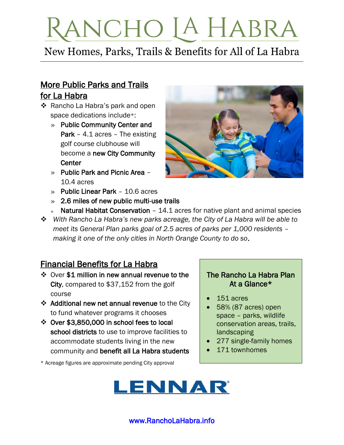# RANCHO IA HABRA

New Homes, Parks, Trails & Benefits for All of La Habra

## More Public Parks and Trails for La Habra

- ❖ Rancho La Habra's park and open space dedications include\*:
	- » Public Community Center and Park - 4.1 acres - The existing golf course clubhouse will become a new City Community **Center**
	- » Public Park and Picnic Area 10.4 acres
	- » Public Linear Park 10.6 acres
	- $\gg$  2.6 miles of new public multi-use trails
	- » Natural Habitat Conservation  $-14.1$  acres for native plant and animal species
- ❖ *With Rancho La Habra's new parks acreage, the City of La Habra will be able to meet its General Plan parks goal of 2.5 acres of parks per 1,000 residents – making it one of the only cities in North Orange County to do so*.

## Financial Benefits for La Habra

- ❖ Over \$1 million in new annual revenue to the City, compared to \$37,152 from the golf course
- ❖ Additional new net annual revenue to the City to fund whatever programs it chooses
- ❖ Over \$3,850,000 in school fees to local school districts to use to improve facilities to accommodate students living in the new community and benefit all La Habra students

\* Acreage figures are approximate pending City approval

#### The Rancho La Habra Plan At a Glance\*

- 151 acres
- 58% (87 acres) open space – parks, wildlife conservation areas, trails, landscaping
- 277 single-family homes
- 171 townhomes





www.RanchoLaHabra.info